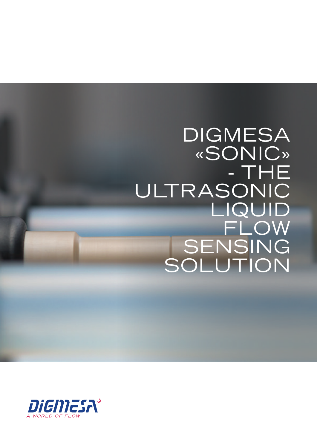# **DIGMESA** «SONIC» - THE ULTRASONIC LIQUID FLOW SENSING **SOLUTION**

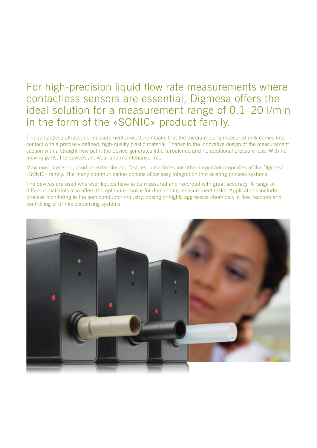### For high-precision liquid flow rate measurements where contactless sensors are essential, Digmesa offers the ideal solution for a measurement range of 0.1–20 l/min in the form of the «SONIC» product family.

The contactless ultrasound measurement procedure means that the medium being measured only comes into contact with a precisely defined, high-quality plastic material. Thanks to the innovative design of the measurement section with a straight flow path, the device generates little turbulence and no additional pressure loss. With no moving parts, the devices are wear and maintenance-free.

Maximum precision, good repeatability and fast response times are other important properties of the Digmesa «SONIC» family. The many communication options allow easy integration into existing process systems.

The devices are used wherever liquids have to be measured and recorded with great accuracy. A range of different materials also offers the optimum choice for demanding measurement tasks. Applications include process monitoring in the semiconductor industry, dosing of highly aggressive chemicals in flow reactors and controlling of drinks dispensing systems.

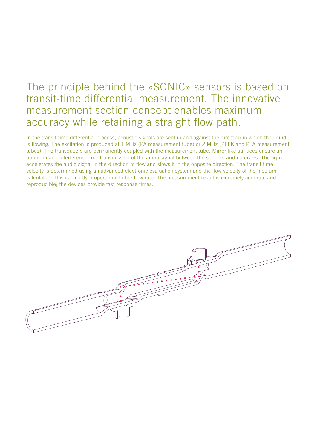### The principle behind the «SONIC» sensors is based on transit-time differential measurement. The innovative measurement section concept enables maximum accuracy while retaining a straight flow path.

In the transit-time differential process, acoustic signals are sent in and against the direction in which the liquid is flowing. The excitation is produced at 1 MHz (PA measurement tube) or 2 MHz (PEEK and PFA measurement tubes). The transducers are permanently coupled with the measurement tube. Mirror-like surfaces ensure an optimum and interference-free transmission of the audio signal between the senders and receivers. The liquid accelerates the audio signal in the direction of flow and slows it in the opposite direction. The transit time velocity is determined using an advanced electronic evaluation system and the flow velocity of the medium calculated. This is directly proportional to the flow rate. The measurement result is extremely accurate and reproducible; the devices provide fast response times.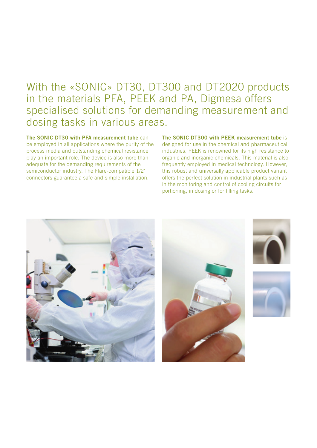## With the «SONIC» DT30, DT300 and DT2020 products in the materials PFA, PEEK and PA, Digmesa offers specialised solutions for demanding measurement and dosing tasks in various areas.

The SONIC DT30 with PFA measurement tube can be employed in all applications where the purity of the process media and outstanding chemical resistance play an important role. The device is also more than adequate for the demanding requirements of the semiconductor industry. The Flare-compatible 1/2" connectors guarantee a safe and simple installation.

The SONIC DT300 with PEEK measurement tube is designed for use in the chemical and pharmaceutical industries. PEEK is renowned for its high resistance to organic and inorganic chemicals. This material is also frequently employed in medical technology. However, this robust and universally applicable product variant offers the perfect solution in industrial plants such as in the monitoring and control of cooling circuits for portioning, in dosing or for filling tasks.







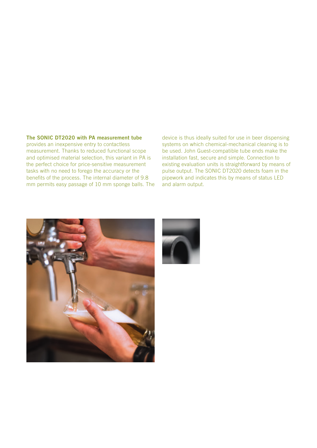### The SONIC DT2020 with PA measurement tube

provides an inexpensive entry to contactless measurement. Thanks to reduced functional scope and optimised material selection, this variant in PA is the perfect choice for price-sensitive measurement tasks with no need to forego the accuracy or the benefits of the process. The internal diameter of 9.8 mm permits easy passage of 10 mm sponge balls. The device is thus ideally suited for use in beer dispensing systems on which chemical-mechanical cleaning is to be used. John Guest-compatible tube ends make the installation fast, secure and simple. Connection to existing evaluation units is straightforward by means of pulse output. The SONIC DT2020 detects foam in the pipework and indicates this by means of status LED and alarm output.



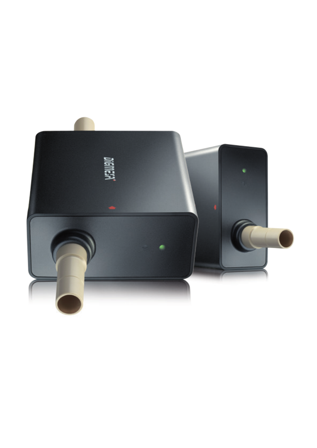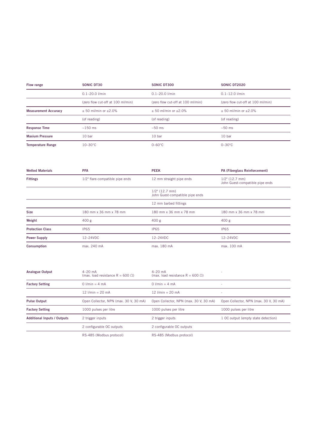| <b>Flow range</b>           | SONIC DT30                        | SONIC DT300                       | SONIC DT2020                      |
|-----------------------------|-----------------------------------|-----------------------------------|-----------------------------------|
|                             | $0.1 - 20.0$ I/min                | $0.1 - 20.0$ I/min                | $0.1 - 12.0$ I/min                |
|                             | (zero flow cut-off at 100 ml/min) | (zero flow cut-off at 100 ml/min) | (zero flow cut-off at 100 ml/min) |
| <b>Measurement Accuracy</b> | $\pm$ 50 ml/min or $\pm$ 2.0%     | $\pm$ 50 ml/min or $\pm$ 2.0%     | $\pm$ 50 ml/min or $\pm$ 2.0%     |
|                             | (of reading)                      | (of reading)                      | (of reading)                      |
| <b>Response Time</b>        | $\sim$ 150 ms                     | $~50$ ms                          | $~50$ ms                          |
| <b>Maxium Pressure</b>      | 10 bar                            | 10 bar                            | 10 bar                            |
| <b>Temperature Range</b>    | $10 - 30^{\circ}$ C               | $0 - 60^{\circ}$ C                | $0 - 30^{\circ}$ C                |

| <b>Wetted Materials</b> | <b>PFA</b>                      | <b>PEEK</b>                                          | PA (Fiberglass Reinforcement)                        |
|-------------------------|---------------------------------|------------------------------------------------------|------------------------------------------------------|
| <b>Fittings</b>         | 1/2" flare-compatible pipe ends | 12 mm straight pipe ends                             | $1/2$ " (12.7 mm)<br>John Guest-compatible pipe ends |
|                         |                                 | $1/2$ " (12.7 mm)<br>John Guest-compatible pipe ends |                                                      |
|                         |                                 | 12 mm barbed fittings                                |                                                      |
| <b>Size</b>             | 180 mm x 36 mm x 78 mm          | 180 mm x 36 mm x 78 mm                               | 180 mm x 36 mm x 78 mm                               |
| Weight                  | 400 g                           | 400 <sub>g</sub>                                     | 400 <sub>g</sub>                                     |
| <b>Protection Class</b> | <b>IP65</b>                     | <b>IP65</b>                                          | <b>IP65</b>                                          |
| <b>Power Supply</b>     | 12-24VDC                        | 12-24VDC                                             | 12-24VDC                                             |
| Consumption             | max. 240 mA                     | max. 180 mA                                          | max. 100 mA                                          |

| <b>Analogue Output</b>             | $4 - 20$ mA<br>(max. load resistance R = 600 $\Omega$ ) | $4 - 20$ mA<br>(max. load resistance R = 600 $\Omega$ ) |                                        |
|------------------------------------|---------------------------------------------------------|---------------------------------------------------------|----------------------------------------|
| <b>Factory Setting</b>             | $0$ I/min = 4 mA                                        | $0$ I/min = 4 mA                                        | ۰                                      |
|                                    | 12 $1/min = 20 mA$                                      | 12 $1/min = 20 mA$                                      | $\overline{\phantom{a}}$               |
| <b>Pulse Output</b>                | Open Collector, NPN (max. 30 V, 30 mA)                  | Open Collector, NPN (max. 30 V, 30 mA)                  | Open Collector, NPN (max. 30 V, 30 mA) |
| <b>Factory Setting</b>             | 1000 pulses per litre                                   | 1000 pulses per litre                                   | 1000 pulses per litre                  |
| <b>Additional Inputs / Outputs</b> | 2 trigger inputs                                        | 2 trigger inputs                                        | 1 OC output (empty state detection)    |
|                                    | 2 configurable OC outputs                               | 2 configurable OC outputs                               |                                        |
|                                    | RS-485 (Modbus protocol)                                | RS-485 (Modbus protocol)                                |                                        |